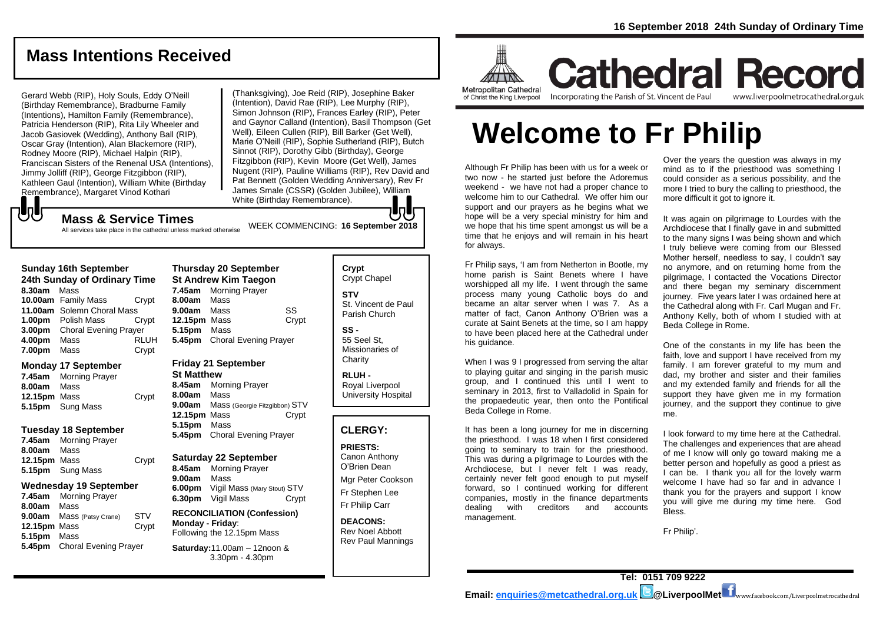## **Mass Intentions Received**

Gerard Webb (RIP), Holy Souls, Eddy O'Neill (Birthday Remembrance), Bradburne Family (Intentions), Hamilton Family (Remembrance), Patricia Henderson (RIP), Rita Lily Wheeler and Jacob Gasiovek (Wedding), Anthony Ball (RIP), Oscar Gray (Intention), Alan Blackemore (RIP), Rodney Moore (RIP), Michael Halpin (RIP), Franciscan Sisters of the Renenal USA (Intentions), Jimmy Jolliff (RIP), George Fitzgibbon (RIP), Kathleen Gaul (Intention), William White (Birthday Remembrance), Margaret Vinod Kothari

(Thanksgiving), Joe Reid (RIP), Josephine Baker (Intention), David Rae (RIP), Lee Murphy (RIP), Simon Johnson (RIP), Frances Earley (RIP), Peter and Gaynor Calland (Intention), Basil Thompson (Get Well), Eileen Cullen (RIP), Bill Barker (Get Well), Marie O'Neill (RIP), Sophie Sutherland (RIP), Butch Sinnot (RIP), Dorothy Gibb (Birthday), George Fitzgibbon (RIP), Kevin Moore (Get Well), James Nugent (RIP), Pauline Williams (RIP), Rev David and Pat Bennett (Golden Wedding Anniversary), Rev Fr James Smale (CSSR) (Golden Jubilee), William White (Birthday Remembrance). IoH

## **UU**

WEEK COMMENCING: **<sup>16</sup> September <sup>2018</sup> Mass & Service Times** All services take place in the cathedral unless marked otherwise

### **Sunday 16th September**

**24th Sunday of Ordinary Time 8.30am** Mass **10.00am** Family Mass Crypt **11.00am** Solemn Choral Mass **1.00pm** Polish Mass Crypt **3.00pm** Choral Evening Prayer **4.00pm** Mass RLUH **7.00pm** Mass **Crypt** 

### **Monday 17 September**

|              | 7.45am Morning Prayer |       |
|--------------|-----------------------|-------|
| 8.00am Mass  |                       |       |
| 12.15pm Mass |                       | Crypt |
|              | 5.15pm Sung Mass      |       |

### **Tuesday 18 September**

| 7.45am Morning Prayer   |       |
|-------------------------|-------|
| <b>8.00am</b> Mass      |       |
| 12.15pm Mass            | Crypt |
| <b>5.15pm</b> Sung Mass |       |
|                         |       |

### **Wednesday 19 September**

**7.45am** Morning Prayer **8.00am** Mass **9.00am** Mass (Patsy Crane) STV **12.15pm** Mass Crypt **5.15pm** Mass **5.45pm** Choral Evening Prayer

### **Thursday 20 September St Andrew Kim Taegon 7.45am** Morning Prayer **8.00am** Mass **9.00am** Mass SS **12.15pm** Mass Crypt **5.15pm** Mass **5.45pm** Choral Evening Prayer

### **Friday 21 September**

**St Matthew 8.45am** Morning Prayer **8.00am** Mass **9.00am** Mass (Georgie Fitzgibbon) STV **12.15pm** Mass Crypt **5.15pm** Mass **5.45pm** Choral Evening Prayer

### **Saturday 22 September**

**8.45am** Morning Prayer **9.00am** Mass **6.00pm** Vigil Mass (Mary Stout) STV **6.30pm** Vigil Mass Crypt

#### **RECONCILIATION (Confession) Monday - Friday**: Following the 12.15pm Mass

**Saturday:**11.00am – 12noon & 3.30pm - 4.30pm

### **Crypt**  Crypt Chapel **STV** St. Vincent de Paul Parish Church

**SS -** 55 Seel St, Missionaries of **Charity** 

**RLUH -** Royal Liverpool University Hospital

### **CLERGY:**

**PRIESTS:** Canon Anthony O'Brien *Dean*

Mgr Peter Cookson Fr Stephen Lee Fr Philip Carr

**DEACONS:** Rev Noel Abbott Rev Paul Mannings



**Cathedral Record** Incorporating the Parish of St. Vincent de Paul www.liverpoolmetrocathedral.org.uk

# **Welcome to Fr Philip**

Although Fr Philip has been with us for a week or two now - he started just before the Adoremus weekend - we have not had a proper chance to welcome him to our Cathedral. We offer him our support and our prayers as he begins what we hope will be a very special ministry for him and we hope that his time spent amongst us will be a time that he enjoys and will remain in his heart for always.

Fr Philip says, 'I am from Netherton in Bootle, my home parish is Saint Benets where I have worshipped all my life. I went through the same process many young Catholic boys do and became an altar server when I was 7. As a matter of fact, Canon Anthony O'Brien was a curate at Saint Benets at the time, so I am happy to have been placed here at the Cathedral under his quidance.

When I was 9 I progressed from serving the altar to playing guitar and singing in the parish music group, and I continued this until I went to seminary in 2013, first to Valladolid in Spain for the propaedeutic year, then onto the Pontifical Beda College in Rome.

It has been a long journey for me in discerning the priesthood. I was 18 when I first considered going to seminary to train for the priesthood. This was during a pilgrimage to Lourdes with the Archdiocese, but I never felt I was ready, certainly never felt good enough to put myself forward, so I continued working for different companies, mostly in the finance departments dealing with creditors and accounts management.

Over the years the question was always in my mind as to if the priesthood was something I could consider as a serious possibility, and the more I tried to bury the calling to priesthood, the more difficult it got to ignore it.

It was again on pilgrimage to Lourdes with the Archdiocese that I finally gave in and submitted to the many signs I was being shown and which I truly believe were coming from our Blessed Mother herself, needless to say, I couldn't say no anymore, and on returning home from the pilgrimage, I contacted the Vocations Director and there began my seminary discernment journey. Five years later I was ordained here at the Cathedral along with Fr. Carl Mugan and Fr. Anthony Kelly, both of whom I studied with at Beda College in Rome.

One of the constants in my life has been the faith, love and support I have received from my family. I am forever grateful to my mum and dad, my brother and sister and their families and my extended family and friends for all the support they have given me in my formation journey, and the support they continue to give me.

I look forward to my time here at the Cathedral. The challenges and experiences that are ahead of me I know will only go toward making me a better person and hopefully as good a priest as I can be. I thank you all for the lovely warm welcome I have had so far and in advance I thank you for the prayers and support I know you will give me during my time here. God Bless.

Fr Philip'.